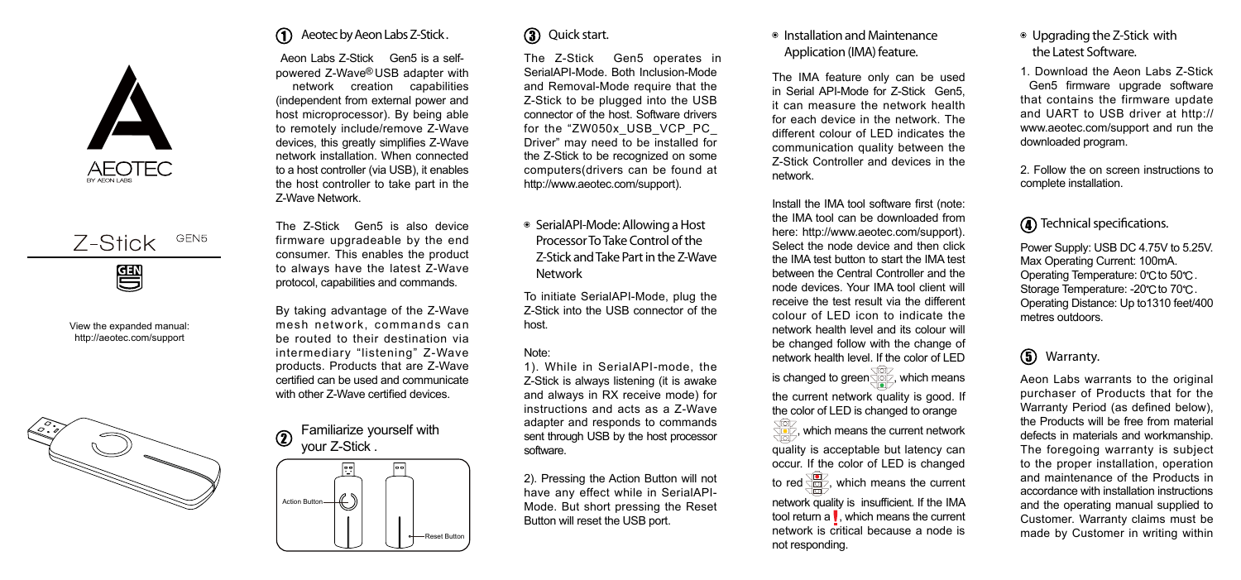



View the expanded manual: http://aeotec.com/support



#### Aeotec by Aeon Labs Z-Stick . ⋒

Aeon Labs Z-Stick Gen5 is a selfpowered Z-Wave<sup>®</sup> USB adapter with<br>network creation capabilities (independent from external power and host microprocessor). B y being able to remotely include/remove Z-Wave devices, this greatly simplifies Z-Wave network installation. When connected to a host controller (via USB), it enables the host controller to take part in the Z-Wave Network.

The Z-Stick Gen5 is also device firmware upgradeable by the end consumer. This enables the product to always have the latest Z-Wave protocol, capabilities and commands.

By taking advantage of the Z-Wave mesh network, commands can be routed to their destination via intermediary "listening" Z-Wave products. Products that are Z-Wave certified can be used and communicate with other Z-Wave certified devices.

Familiarize yourself with your Z-Stick .  $\Omega$ 



#### **3** Quick start.

The Z-Stick Gen5 operates in SerialAPI-Mode. Both Inclusion-Mode<br>and Removal-Mode require that the Z-Stick to be plugged into the USB connector of the host. Software drivers for the "ZW050x\_USB\_VCP\_PC\_ Driver" may need to be installed for<br>the Z-Stick to be recognized on some computers(drivers can be found at http://www.aeotec.com/support).

SerialAPI-Mode: Allowing a Host Processor To Take Control of the Z-Stick and Take Part in the Z-Wave Network

To initiate SerialAPI-Mode, plug the Z-Stick into the USB connector of the host.

#### Note:

1). While in SerialAPI-mode, the Z-Stick is always listening (it is awake and always in RX receive mode) for instructions and acts as a Z-Wave adapter and responds to commands sent through USB by the host processor software.

2). Pressing the Action Button will not have any effect while in SerialAPI-Mode. But short pressing the Reset Button will reset the USB port.

#### Installation and Maintenance Application (IMA) feature.

The IMA feature only can be used in S e rial API-Mode for Z-Stick Gen5, it can measure the network health for each device in the network. The<br>different colour of LED indicates the communication quality between the Z-Stick Controller and devices in the network.

Install the IMA tool software first (note: the IMA tool can be downloaded from here: http://www.aeotec.com/support). Select the node device and then click the IMA test button to start the IMA test between the Central Controller and the node devices. Your IMA tool client will receive the test result via the different colour of LED icon to indicate the network health level and its colour will be changed follow with the change of network health level. If the color of LED is changed to green  $\sqrt{\omega}$ , which means the current network quality is good. If the color of LED is changed to orange , which means the current network quality is acceptable but latency can occur. If the color of LED is changed to red  $\sqrt{\omega}$ , which means the current network quality is insufficient. If the IMA tool return a  $\mathsf{I}$ , which means the current network is critical because a node is not responding.

#### Upgrading the Z-Stick with the Latest Software.

1. Download the Aeon Labs Z-Stick Gen5 firmware upgrade software that contains the firmware update and UART to USB driver at http:// www.aeotec.com/support and run the downloaded program.

2. Follow the on screen instructions to complete installation.

#### **Technical specifications.**

Power Supply: USB DC 4.75V to 5.25V. Max Operating Current: 100mA. Operating Temperature: 0°C to 50°C. Storage Temperature: -20°C to 70°C. Operating Distance: Up to1310 feet/400 metres outdoors.

#### Warranty.

Aeon Labs warrants to the original purchaser of Products that for the Warranty Period (as defined below), the Products will be free from material defects in materials and workmanship. The foregoing warranty is subject to the proper installation, operation and maintenance of the Products in accordance with installation instructions and the operating manual supplied to Customer. Warranty claims must be made by Customer in writing within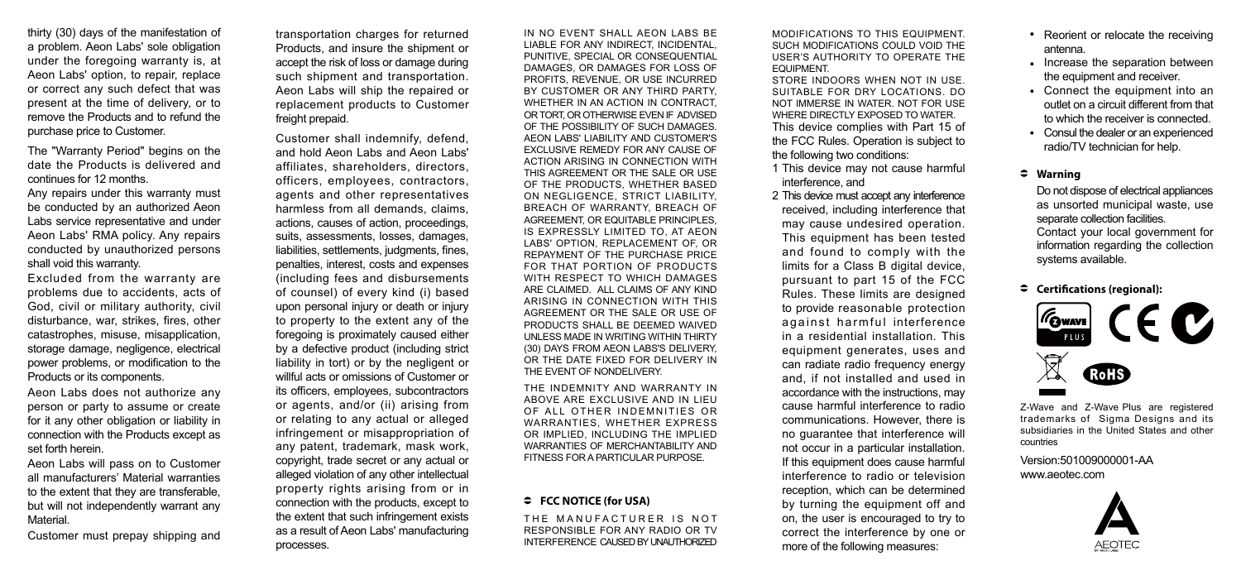thirty (30) days of the manifestation of a problem. Aeon Labs' sole obligation under the foregoing warranty is, at Aeon Labs' option, to repair, replace or correct any such defect that was present at the time of delivery, or to remove the Products and to refund the purchase price to Customer.

The "Warranty Period" begins on the date the Products is delivered and continues for 12 months.

Any repairs under this warranty must be conducted by an authorized Aeon Labs service representative and under Aeon Labs' RMA policy. Any repairs conducted by unauthorized persons shall void this warranty.

Excluded from the warranty are problems due to accidents, acts of God, civil or military authority, civil disturbance, war, strikes, fires, other catastrophes, misuse, misapplication, storage damage, negligence, electrical power problems, or modification to the Products or its components.

Aeon Labs does not authorize any person or party to assume or create for it any other obligation or liability in connection with the Products except as set forth herein.

Aeon Labs will pass on to Customer all manufacturers' Material warranties to the extent that they are transferable, but will not independently warrant any **Material** 

Customer must prepay shipping and

transportation charges for returned Products, and insure the shipment or accept the risk of loss or damage during such shipment and transportation. Aeon Labs will ship the repaired or replacement products to Customer freight prepaid.

Customer shall indemnify, defend, and hold Aeon Labs and Aeon Labs' affiliates, shareholders, directors, officers, employees, contractors, agents and other representatives harmless from all demands, claims, actions, causes of action, proceedings, suits, assessments, losses, damages, liabilities, settlements, judgments, fines, penalties, interest, costs and expenses (including fees and disbursements of counsel) of every kind (i) based upon personal injury or death or injury to property to the extent any of the foregoing is proximately caused either by a defective product (including strict liability in tort) or by the negligent or willful acts or omissions of Customer or its officers, employees, subcontractors or agents, and/or (ii) arising from or relating to any actual or alleged infringement or misappropriation of any patent, trademark, mask work, copyright, trade secret or any actual or alleged violation of any other intellectual property rights arising from or in connection with the products, except to the extent that such infringement exists as a result of Aeon Labs' manufacturing processes.

IN NO EVENT SHALL AEON LABS BE LIABLE FOR ANY INDIRECT. INCIDENTAL, PUNITIVE, SPECIAL OR CONSEQUENTIAL DAMAGES, OR DAMAGES FOR LOSS OF PROFITS, REVENUE, OR USE INCURRED BY CUSTOMER OR ANY THIRD PARTY, WHETHER IN AN ACTION IN CONTRACT, OR TORT, OR OTHERWISE EVEN IF ADVISED OF THE POSSIBILITY OF SLICH DAMAGES. AEON LABS' LIABILITY AND CUSTOMER'S EXCLUSIVE REMEDY FOR ANY CAUSE OF ACTION ARISING IN CONNECTION WITH THIS AGREEMENT OR THE SALE OR USE OF THE PRODUCTS, WHETHER BASED ON NEGLIGENCE, STRICT LIABILITY, BREACH OF WARRANTY, BREACH OF AGREEMENT, OR EQUITABLE PRINCIPLES, IS EXPRESSLY LIMITED TO, AT AEON LABS' OPTION, REPLACEMENT OF, OR REPAYMENT OF THE PURCHASE PRICE FOR THAT PORTION OF PRODUCTS WITH RESPECT TO WHICH DAMAGES ARE CLAIMED. ALL CLAIMS OF ANY KIND ARISING IN CONNECTION WITH THIS AGREEMENT OR THE SALE OR USE OF PRODUCTS SHALL BE DEEMED WAIVED UNLESS MADE IN WRITING WITHIN THIRTY (30) DAYS FROM AEON LABS'S DELIVERY, OR THE DATE FIXED FOR DELIVERY IN THE EVENT OF NONDELIVERY.

THE INDEMNITY AND WARRANTY IN ABOVE ARE EXCLUSIVE AND IN LIEU OF ALL OTHER INDEMNITIES OR WARRANTIES, WHETHER EXPRESS OR IMPLIED, INCLUDING THE IMPLIED WARRANTIES OF MERCHANTABILITY AND FITNESS FOR A PARTICULAR PURPOSE.

#### **FCC NOTICE (for USA)**

THE MANUEACTURER IS NOT RESPONSIBLE FOR ANY RADIO OR TV INTERFERENCE CAUSED BY UNAUTHORIZED MODIFICATIONS TO THIS EQUIPMENT. SUCH MODIFICATIONS COULD VOID THE USER'S AUTHORITY TO OPERATE THE **EQUIPMENT** 

This device complies with Part 15 of the FCC Rules. Operation is subject to the following two conditions: STORE INDOORS WHEN NOT IN USE. SUITABLE FOR DRY LOCATIONS. DO NOT IMMERSE IN WATER. NOT FOR USE WHERE DIRECTLY EXPOSED TO WATER.

1 This device may not cause harmful interference, and

2 This device must accept any interference received, including interference that may cause undesired operation. This equipment has been tested and found to comply with the limits for a Class B digital device, pursuant to part 15 of the FCC Rules. These limits are designed to provide reasonable protection against harmful interference in a residential installation. This equipment generates, uses and can radiate radio frequency energy and, if not installed and used in accordance with the instructions, may cause harmful interference to radio communications. However, there is no guarantee that interference will not occur in a particular installation. If this equipment does cause harmful interference to radio or television reception, which can be determined by turning the equipment off and on, the user is encouraged to try to correct the interference by one or more of the following measures:

- Reorient or relocate the receiving antenna.
- Increase the separation between the equipment and receiver.
- Connect the equipment into an outlet on a circuit different from that to which the receiver is connected.
- Consul the dealer or an experienced radio/TV technician for help.

#### **Warning**

Do not dispose of electrical appliances as unsorted municipal waste, use separate collection facilities. Contact your local government for information regarding the collection systems available.

**Certifications (regional):**



Z-Wave and Z-Wave Plus are registered trademarks of Sigma Designs and its subsidiaries in the United States and other countries

Version:501009000001-AA www.aeotec.com

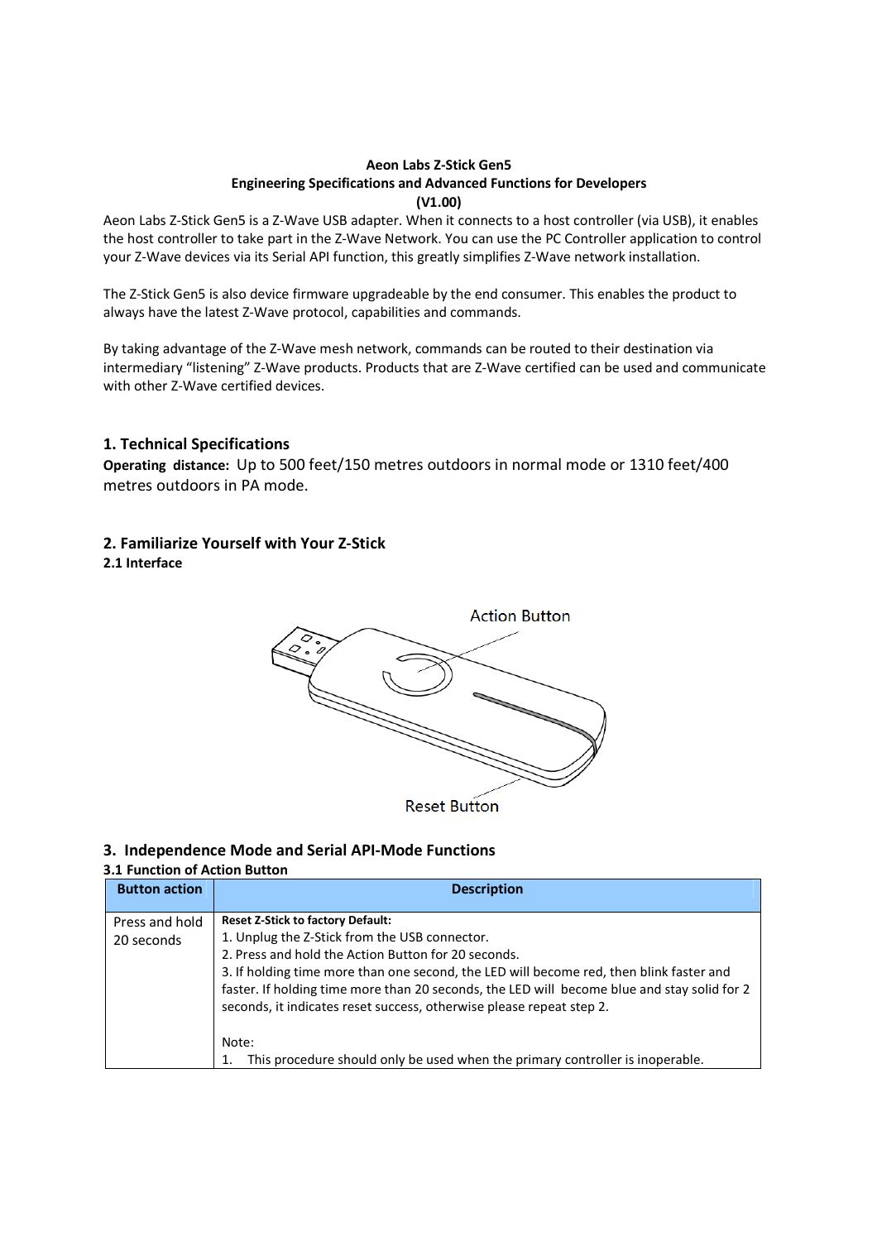# **Aeon Labs Z-Stick Gen5 Engineering Specifications and Advanced Functions for Developers (V1.00)**

Aeon Labs Z-Stick Gen5 is a Z-Wave USB adapter. When it connects to a host controller (via USB), it enables the host controller to take part in the Z-Wave Network. You can use the PC Controller application to control your Z-Wave devices via its Serial API function, this greatly simplifies Z-Wave network installation.

The Z-Stick Gen5 is also device firmware upgradeable by the end consumer. This enables the product to always have the latest Z-Wave protocol, capabilities and commands.

By taking advantage of the Z-Wave mesh network, commands can be routed to their destination via intermediary "listening" Z-Wave products. Products that are Z-Wave certified can be used and communicate with other Z-Wave certified devices.

# **1. Technical Specifications**

**Operating distance:** Up to 500 feet/150 metres outdoors in normal mode or 1310 feet/400 metres outdoors in PA mode.

# **2. Familiarize Yourself with Your Z-Stick**

**2.1 Interface** 



# **3. Independence Mode and Serial API-Mode Functions**

## **3.1 Function of Action Button**

| <b>Button action</b>         | <b>Description</b>                                                                                                                                                                                                                                                                                                                                                                                                                                                                                           |
|------------------------------|--------------------------------------------------------------------------------------------------------------------------------------------------------------------------------------------------------------------------------------------------------------------------------------------------------------------------------------------------------------------------------------------------------------------------------------------------------------------------------------------------------------|
| Press and hold<br>20 seconds | <b>Reset Z-Stick to factory Default:</b><br>1. Unplug the Z-Stick from the USB connector.<br>2. Press and hold the Action Button for 20 seconds.<br>3. If holding time more than one second, the LED will become red, then blink faster and<br>faster. If holding time more than 20 seconds, the LED will become blue and stay solid for 2<br>seconds, it indicates reset success, otherwise please repeat step 2.<br>Note:<br>This procedure should only be used when the primary controller is inoperable. |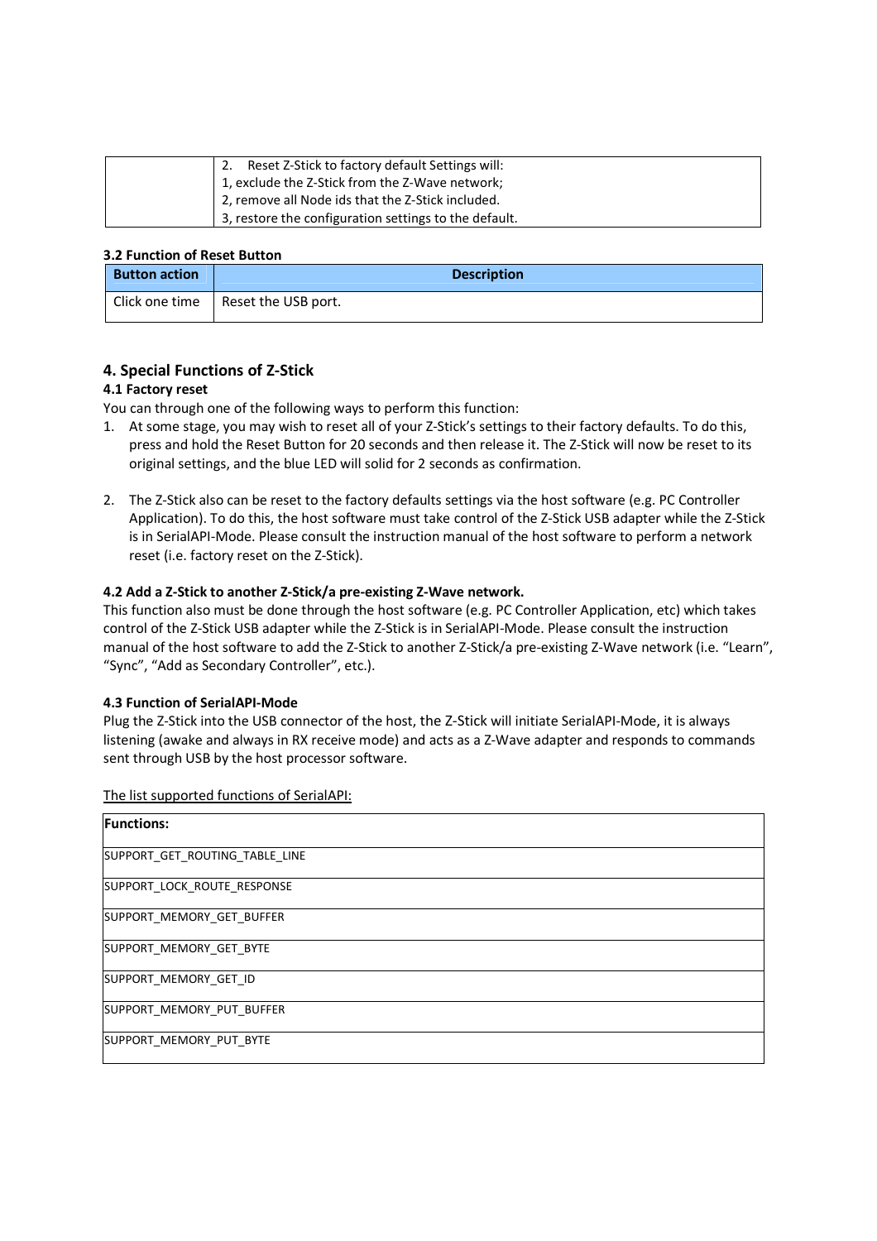| Reset Z-Stick to factory default Settings will:       |
|-------------------------------------------------------|
| 1, exclude the Z-Stick from the Z-Wave network;       |
| 2, remove all Node ids that the Z-Stick included.     |
| 3, restore the configuration settings to the default. |

# **3.2 Function of Reset Button**

| <b>Button action</b> | <b>Description</b>                   |
|----------------------|--------------------------------------|
|                      | Click one time   Reset the USB port. |

# **4. Special Functions of Z-Stick**

# **4.1 Factory reset**

You can through one of the following ways to perform this function:

- 1. At some stage, you may wish to reset all of your Z-Stick's settings to their factory defaults. To do this, press and hold the Reset Button for 20 seconds and then release it. The Z-Stick will now be reset to its original settings, and the blue LED will solid for 2 seconds as confirmation.
- 2. The Z-Stick also can be reset to the factory defaults settings via the host software (e.g. PC Controller Application). To do this, the host software must take control of the Z-Stick USB adapter while the Z-Stick is in SerialAPI-Mode. Please consult the instruction manual of the host software to perform a network reset (i.e. factory reset on the Z-Stick).

# **4.2 Add a Z-Stick to another Z-Stick/a pre-existing Z-Wave network.**

This function also must be done through the host software (e.g. PC Controller Application, etc) which takes control of the Z-Stick USB adapter while the Z-Stick is in SerialAPI-Mode. Please consult the instruction manual of the host software to add the Z-Stick to another Z-Stick/a pre-existing Z-Wave network (i.e. "Learn", "Sync", "Add as Secondary Controller", etc.).

## **4.3 Function of SerialAPI-Mode**

Plug the Z-Stick into the USB connector of the host, the Z-Stick will initiate SerialAPI-Mode, it is always listening (awake and always in RX receive mode) and acts as a Z-Wave adapter and responds to commands sent through USB by the host processor software.

The list supported functions of SerialAPI:

| <b>Functions:</b>              |  |
|--------------------------------|--|
| SUPPORT_GET_ROUTING_TABLE_LINE |  |
| SUPPORT_LOCK_ROUTE_RESPONSE    |  |
| SUPPORT_MEMORY_GET_BUFFER      |  |
| SUPPORT_MEMORY_GET_BYTE        |  |
| SUPPORT_MEMORY_GET_ID          |  |
| SUPPORT_MEMORY_PUT_BUFFER      |  |
| SUPPORT MEMORY PUT BYTE        |  |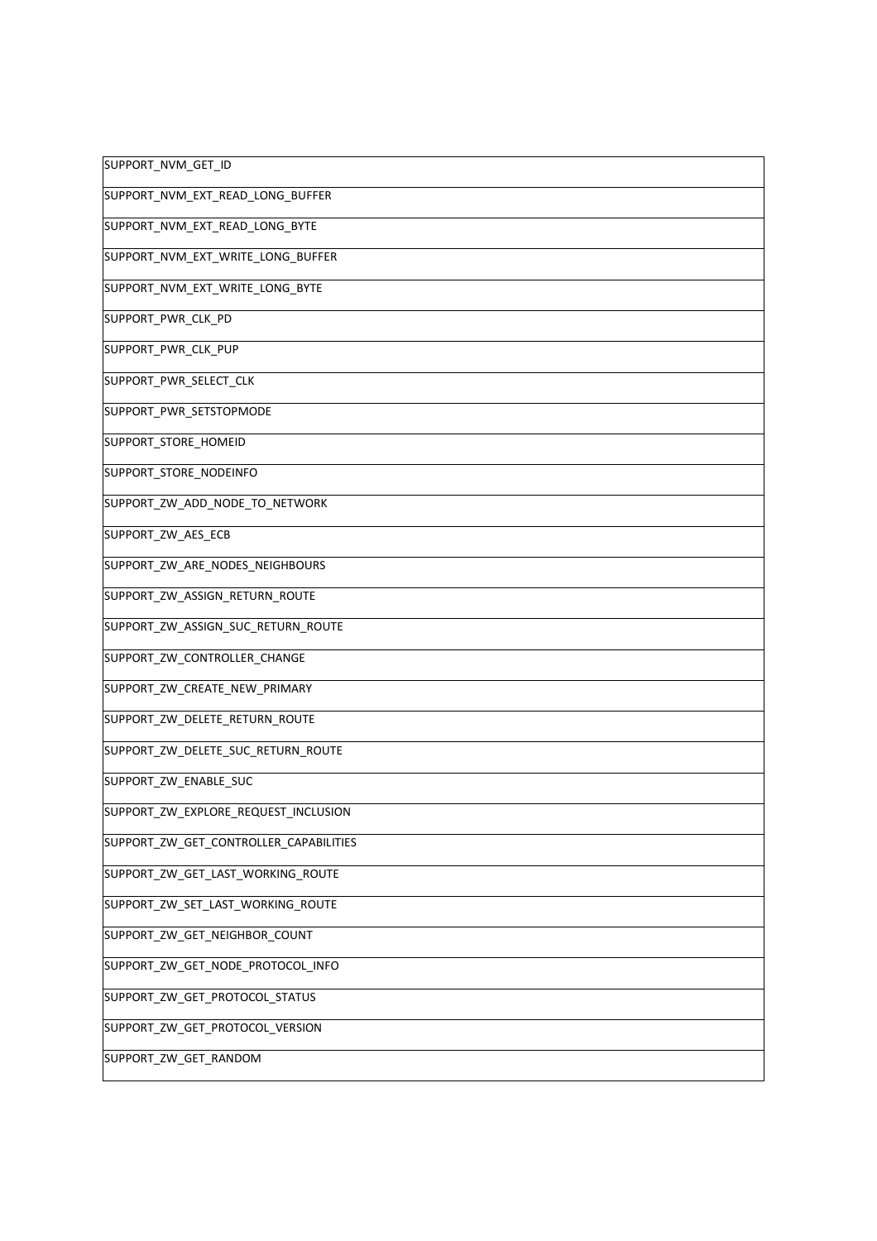| SUPPORT_NVM_GET_ID                     |
|----------------------------------------|
| SUPPORT_NVM_EXT_READ_LONG_BUFFER       |
| SUPPORT_NVM_EXT_READ_LONG_BYTE         |
| SUPPORT_NVM_EXT_WRITE_LONG_BUFFER      |
| SUPPORT_NVM_EXT_WRITE_LONG_BYTE        |
| SUPPORT_PWR_CLK_PD                     |
| SUPPORT_PWR_CLK_PUP                    |
| SUPPORT_PWR_SELECT_CLK                 |
| SUPPORT_PWR_SETSTOPMODE                |
| SUPPORT_STORE_HOMEID                   |
| SUPPORT_STORE_NODEINFO                 |
| SUPPORT_ZW_ADD_NODE_TO_NETWORK         |
| SUPPORT_ZW_AES_ECB                     |
| SUPPORT_ZW_ARE_NODES_NEIGHBOURS        |
| SUPPORT_ZW_ASSIGN_RETURN_ROUTE         |
| SUPPORT_ZW_ASSIGN_SUC_RETURN_ROUTE     |
| SUPPORT_ZW_CONTROLLER_CHANGE           |
| SUPPORT_ZW_CREATE_NEW_PRIMARY          |
| SUPPORT_ZW_DELETE_RETURN_ROUTE         |
| SUPPORT_ZW_DELETE_SUC_RETURN_ROUTE     |
| SUPPORT_ZW_ENABLE_SUC                  |
| SUPPORT_ZW_EXPLORE_REQUEST_INCLUSION   |
| SUPPORT_ZW_GET_CONTROLLER_CAPABILITIES |
| SUPPORT_ZW_GET_LAST_WORKING_ROUTE      |
| SUPPORT_ZW_SET_LAST_WORKING_ROUTE      |
| SUPPORT_ZW_GET_NEIGHBOR_COUNT          |
| SUPPORT_ZW_GET_NODE_PROTOCOL_INFO      |
| SUPPORT_ZW_GET_PROTOCOL_STATUS         |
| SUPPORT_ZW_GET_PROTOCOL_VERSION        |
| SUPPORT_ZW_GET_RANDOM                  |
|                                        |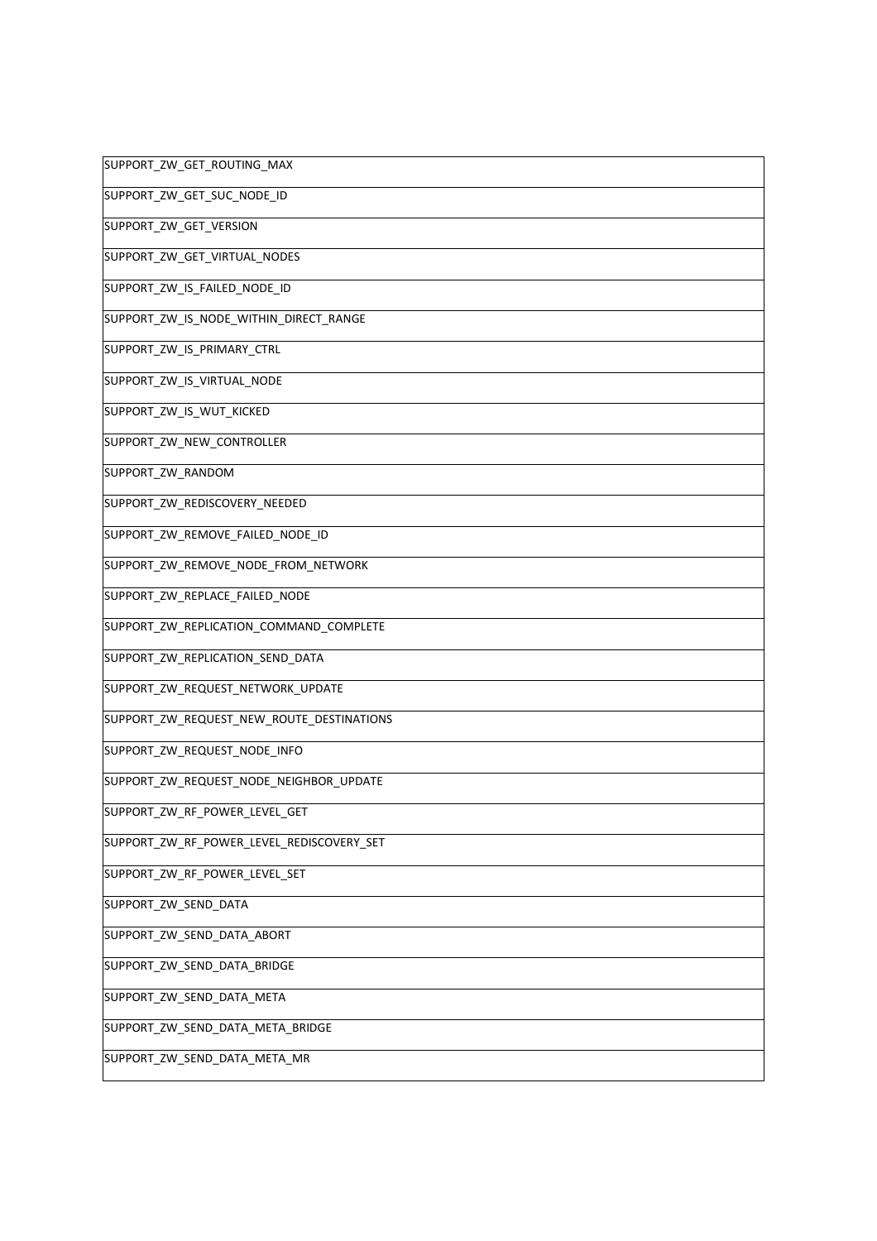| SUPPORT_ZW_GET_ROUTING_MAX                |
|-------------------------------------------|
| SUPPORT_ZW_GET_SUC_NODE_ID                |
| SUPPORT_ZW_GET_VERSION                    |
| SUPPORT_ZW_GET_VIRTUAL_NODES              |
| SUPPORT_ZW_IS_FAILED_NODE_ID              |
| SUPPORT_ZW_IS_NODE_WITHIN_DIRECT_RANGE    |
| SUPPORT_ZW_IS_PRIMARY_CTRL                |
| SUPPORT_ZW_IS_VIRTUAL_NODE                |
| SUPPORT_ZW_IS_WUT_KICKED                  |
| SUPPORT_ZW_NEW_CONTROLLER                 |
| SUPPORT_ZW_RANDOM                         |
| SUPPORT_ZW_REDISCOVERY_NEEDED             |
| SUPPORT_ZW_REMOVE_FAILED_NODE_ID          |
| SUPPORT_ZW_REMOVE_NODE_FROM_NETWORK       |
| SUPPORT_ZW_REPLACE_FAILED_NODE            |
| SUPPORT_ZW_REPLICATION_COMMAND_COMPLETE   |
| SUPPORT_ZW_REPLICATION_SEND_DATA          |
| SUPPORT_ZW_REQUEST_NETWORK_UPDATE         |
| SUPPORT_ZW_REQUEST_NEW_ROUTE_DESTINATIONS |
| SUPPORT_ZW_REQUEST_NODE_INFO              |
| SUPPORT_ZW_REQUEST_NODE_NEIGHBOR_UPDATE   |
| SUPPORT_ZW_RF_POWER_LEVEL_GET             |
| SUPPORT_ZW_RF_POWER_LEVEL_REDISCOVERY_SET |
| SUPPORT_ZW_RF_POWER_LEVEL_SET             |
| SUPPORT_ZW_SEND_DATA                      |
| SUPPORT_ZW_SEND_DATA_ABORT                |
| SUPPORT_ZW_SEND_DATA_BRIDGE               |
| SUPPORT_ZW_SEND_DATA_META                 |
| SUPPORT_ZW_SEND_DATA_META_BRIDGE          |
| SUPPORT_ZW_SEND_DATA_META_MR              |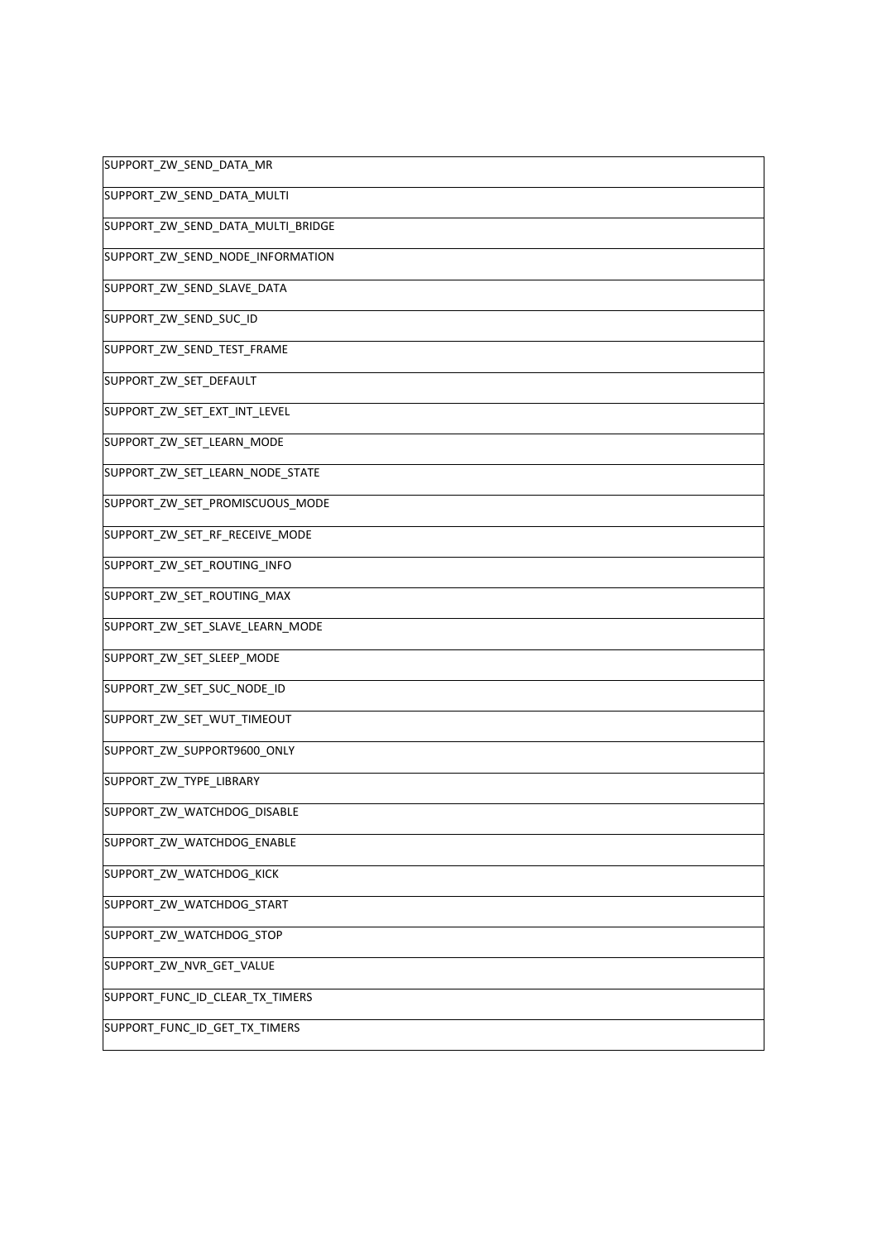| SUPPORT_ZW_SEND_DATA_MR           |
|-----------------------------------|
| SUPPORT_ZW_SEND_DATA_MULTI        |
| SUPPORT_ZW_SEND_DATA_MULTI_BRIDGE |
| SUPPORT_ZW_SEND_NODE_INFORMATION  |
| SUPPORT_ZW_SEND_SLAVE_DATA        |
| SUPPORT_ZW_SEND_SUC_ID            |
| SUPPORT_ZW_SEND_TEST_FRAME        |
| SUPPORT_ZW_SET_DEFAULT            |
| SUPPORT_ZW_SET_EXT_INT_LEVEL      |
| SUPPORT_ZW_SET_LEARN_MODE         |
| SUPPORT_ZW_SET_LEARN_NODE_STATE   |
| SUPPORT_ZW_SET_PROMISCUOUS_MODE   |
| SUPPORT_ZW_SET_RF_RECEIVE_MODE    |
| SUPPORT_ZW_SET_ROUTING_INFO       |
| SUPPORT_ZW_SET_ROUTING_MAX        |
| SUPPORT_ZW_SET_SLAVE_LEARN_MODE   |
| SUPPORT_ZW_SET_SLEEP_MODE         |
| SUPPORT_ZW_SET_SUC_NODE_ID        |
| SUPPORT_ZW_SET_WUT_TIMEOUT        |
| SUPPORT_ZW_SUPPORT9600_ONLY       |
| SUPPORT_ZW_TYPE_LIBRARY           |
| SUPPORT_ZW_WATCHDOG_DISABLE       |
| SUPPORT_ZW_WATCHDOG_ENABLE        |
| SUPPORT_ZW_WATCHDOG_KICK          |
| SUPPORT_ZW_WATCHDOG_START         |
| SUPPORT_ZW_WATCHDOG_STOP          |
| SUPPORT_ZW_NVR_GET_VALUE          |
| SUPPORT_FUNC_ID_CLEAR_TX_TIMERS   |
| SUPPORT_FUNC_ID_GET_TX_TIMERS     |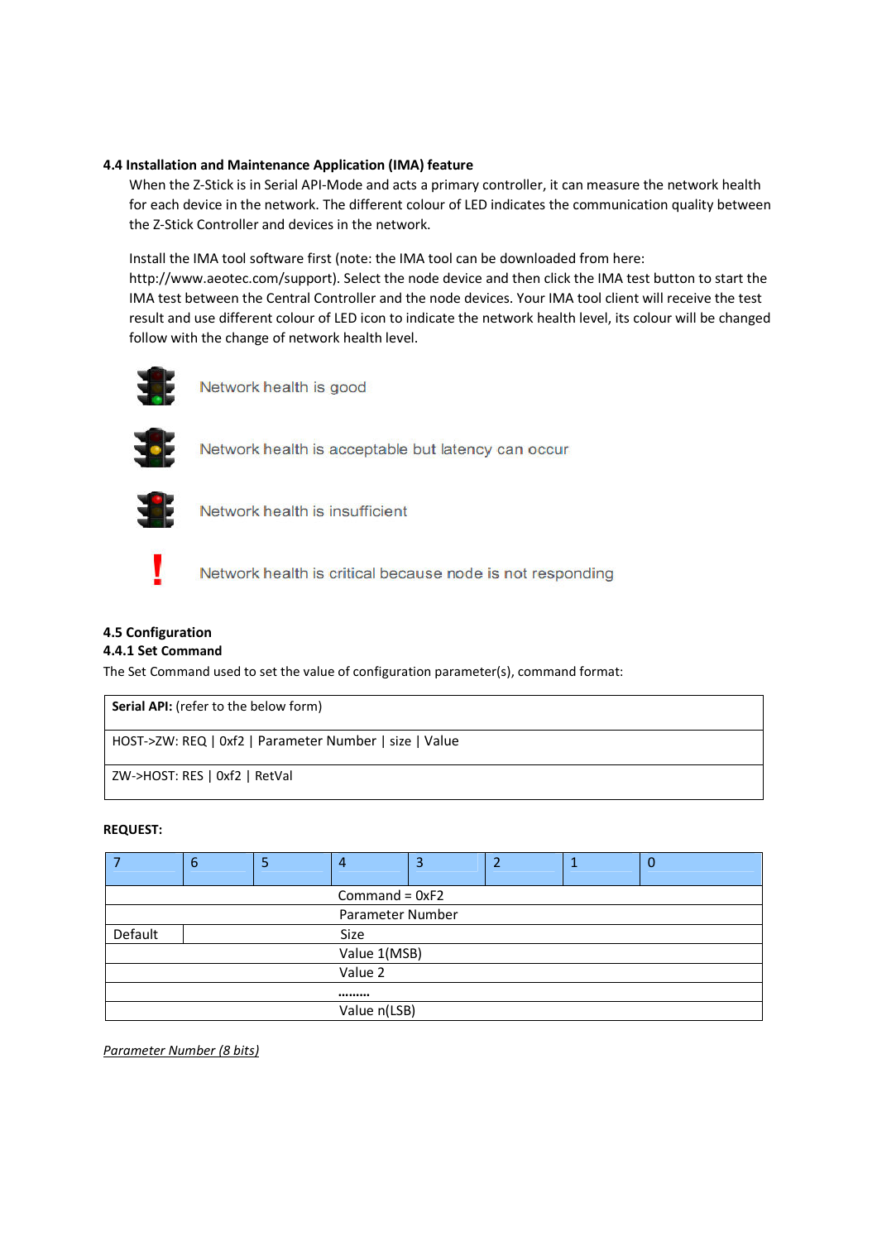## **4.4 Installation and Maintenance Application (IMA) feature**

When the Z-Stick is in Serial API-Mode and acts a primary controller, it can measure the network health for each device in the network. The different colour of LED indicates the communication quality between the Z-Stick Controller and devices in the network.

Install the IMA tool software first (note: the IMA tool can be downloaded from here:

http://www.aeotec.com/support). Select the node device and then click the IMA test button to start the IMA test between the Central Controller and the node devices. Your IMA tool client will receive the test result and use different colour of LED icon to indicate the network health level, its colour will be changed follow with the change of network health level.



Network health is good



Network health is acceptable but latency can occur



Network health is insufficient



Network health is critical because node is not responding

# **4.5 Configuration**

## **4.4.1 Set Command**

The Set Command used to set the value of configuration parameter(s), command format:

| <b>Serial API:</b> (refer to the below form)           |  |  |  |  |
|--------------------------------------------------------|--|--|--|--|
| HOST->ZW: REQ   0xf2   Parameter Number   size   Value |  |  |  |  |
| ZW->HOST: RES   0xf2   RetVal                          |  |  |  |  |

## **REQUEST:**

|                  | 6                | 5 | 4 | 3 |  |  | $\mathbf 0$ |
|------------------|------------------|---|---|---|--|--|-------------|
| Command = $0xF2$ |                  |   |   |   |  |  |             |
|                  | Parameter Number |   |   |   |  |  |             |
| Default          | Size             |   |   |   |  |  |             |
|                  | Value 1(MSB)     |   |   |   |  |  |             |
| Value 2          |                  |   |   |   |  |  |             |
|                  |                  |   |   |   |  |  |             |
|                  | Value n(LSB)     |   |   |   |  |  |             |

*Parameter Number (8 bits)*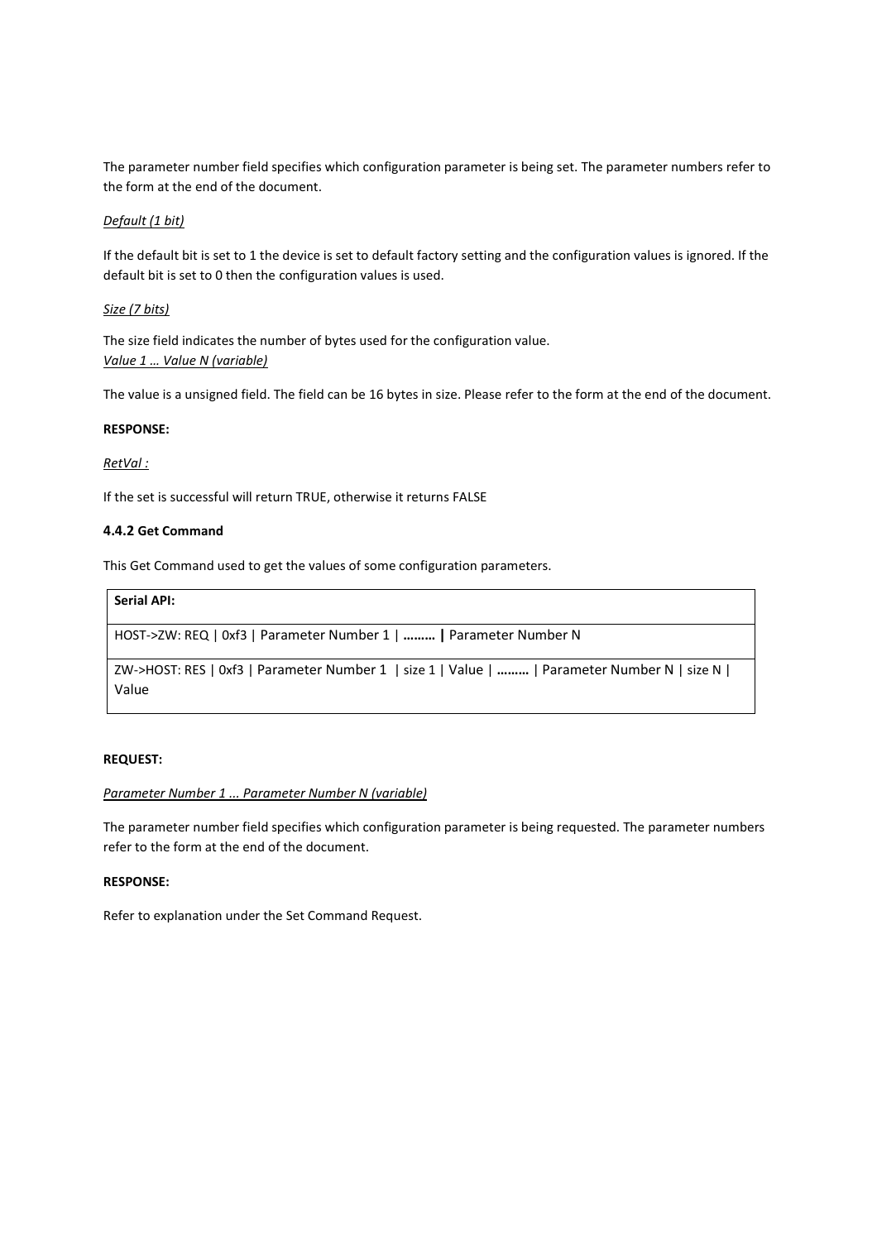The parameter number field specifies which configuration parameter is being set. The parameter numbers refer to the form at the end of the document.

### *Default (1 bit)*

If the default bit is set to 1 the device is set to default factory setting and the configuration values is ignored. If the default bit is set to 0 then the configuration values is used.

### *Size (7 bits)*

The size field indicates the number of bytes used for the configuration value. *Value 1 … Value N (variable)* 

The value is a unsigned field. The field can be 16 bytes in size. Please refer to the form at the end of the document.

### **RESPONSE:**

### *RetVal :*

If the set is successful will return TRUE, otherwise it returns FALSE

### **4.4.2 Get Command**

This Get Command used to get the values of some configuration parameters.

| <b>Serial API:</b>                                                                                     |
|--------------------------------------------------------------------------------------------------------|
| HOST->ZW: REQ   0xf3   Parameter Number 1      Parameter Number N                                      |
| ZW->HOST: RES   0xf3   Parameter Number 1   size 1   Value      Parameter Number N   size N  <br>Value |

### **REQUEST:**

### *Parameter Number 1 ... Parameter Number N (variable)*

The parameter number field specifies which configuration parameter is being requested. The parameter numbers refer to the form at the end of the document.

## **RESPONSE:**

Refer to explanation under the Set Command Request.